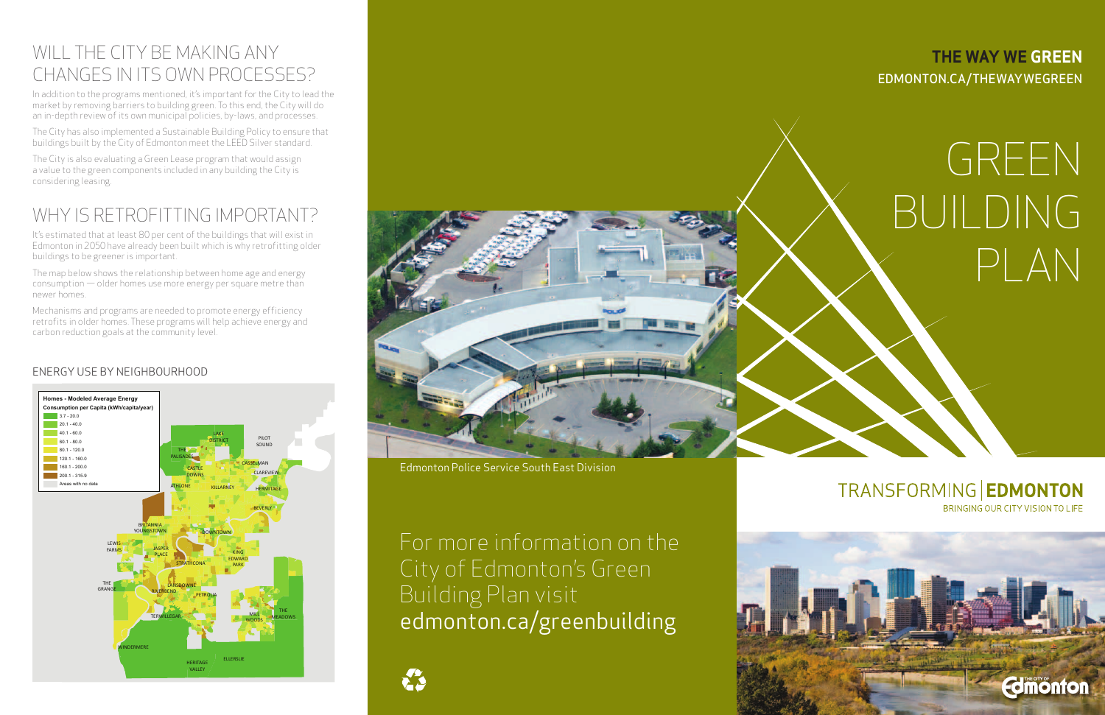## WILL THE CITY BE MAKING ANY CHANGES IN ITS OWN PROCESSES?

In addition to the programs mentioned, it's important for the City to lead the market by removing barriers to building green. To this end, the City will do an in-depth review of its own municipal policies, by-laws, and processes.

The City has also implemented a Sustainable Building Policy to ensure that buildings built by the City of Edmonton meet the LEED Silver standard.

The City is also evaluating a Green Lease program that would assign a value to the green components included in any building the City is considering leasing.

# WHY IS RETROFITTING IMPORTANT?

It's estimated that at least 80 per cent of the buildings that will exist in Edmonton in 2050 have already been built which is why retrofitting older buildings to be greener is important.

> For more information on the City of Edmonton's Green Building Plan visit edmonton.ca/greenbuilding





The map below shows the relationship between home age and energy consumption — older homes use more energy per square metre than newer homes.

Mechanisms and programs are needed to promote energy efficiency retrofits in older homes. These programs will help achieve energy and carbon reduction goals at the community level.





#### EDMONTON.CA/THEWAYWEGREEN **THE WAY WE GREEN**

#### Energy Use by Neighbourhood

# GREEN BUILDING PLAN

#### TRANSFORMING | EDMONTON BRINGING OUR CITY VISION TO LIFE

# **Edimonton**

Edmonton Police Service South East Division